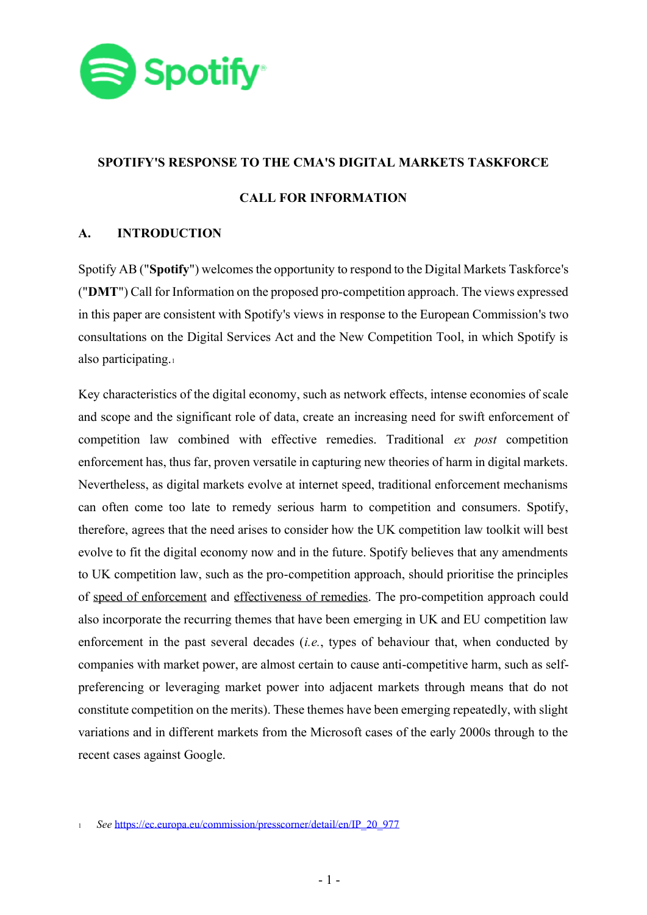

### **SPOTIFY'S RESPONSE TO THE CMA'S DIGITAL MARKETS TASKFORCE**

# **CALL FOR INFORMATION**

# **A. INTRODUCTION**

Spotify AB ("**Spotify**") welcomes the opportunity to respond to the Digital Markets Taskforce's ("**DMT**") Call for Information on the proposed pro-competition approach. The views expressed in this paper are consistent with Spotify's views in response to the European Commission's two consultations on the Digital Services Act and the New Competition Tool, in which Spotify is also participating.<sup>1</sup>

Key characteristics of the digital economy, such as network effects, intense economies of scale and scope and the significant role of data, create an increasing need for swift enforcement of competition law combined with effective remedies. Traditional *ex post* competition enforcement has, thus far, proven versatile in capturing new theories of harm in digital markets. Nevertheless, as digital markets evolve at internet speed, traditional enforcement mechanisms can often come too late to remedy serious harm to competition and consumers. Spotify, therefore, agrees that the need arises to consider how the UK competition law toolkit will best evolve to fit the digital economy now and in the future. Spotify believes that any amendments to UK competition law, such as the pro-competition approach, should prioritise the principles of speed of enforcement and effectiveness of remedies. The pro-competition approach could also incorporate the recurring themes that have been emerging in UK and EU competition law enforcement in the past several decades (*i.e.*, types of behaviour that, when conducted by companies with market power, are almost certain to cause anti-competitive harm, such as selfpreferencing or leveraging market power into adjacent markets through means that do not constitute competition on the merits). These themes have been emerging repeatedly, with slight variations and in different markets from the Microsoft cases of the early 2000s through to the recent cases against Google.

<sup>1</sup> *See* [https://ec.europa.eu/commission/presscorner/detail/en/IP\\_20\\_977](https://ec.europa.eu/commission/presscorner/detail/en/IP_20_977)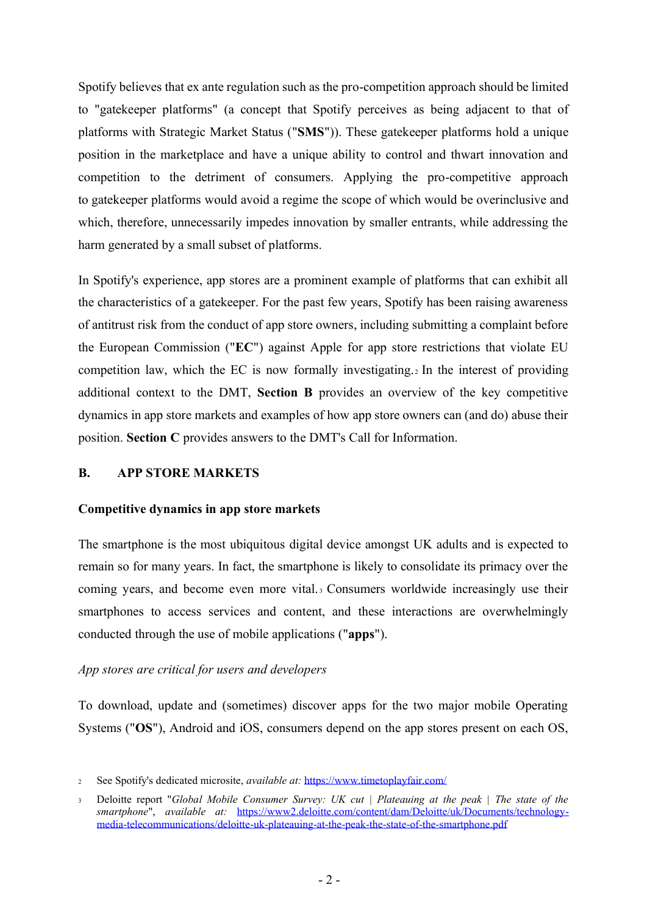Spotify believes that ex ante regulation such as the pro-competition approach should be limited to "gatekeeper platforms" (a concept that Spotify perceives as being adjacent to that of platforms with Strategic Market Status ("**SMS**")). These gatekeeper platforms hold a unique position in the marketplace and have a unique ability to control and thwart innovation and competition to the detriment of consumers. Applying the pro-competitive approach to gatekeeper platforms would avoid a regime the scope of which would be overinclusive and which, therefore, unnecessarily impedes innovation by smaller entrants, while addressing the harm generated by a small subset of platforms.

In Spotify's experience, app stores are a prominent example of platforms that can exhibit all the characteristics of a gatekeeper. For the past few years, Spotify has been raising awareness of antitrust risk from the conduct of app store owners, including submitting a complaint before the European Commission ("**EC**") against Apple for app store restrictions that violate EU competition law, which the EC is now formally investigating. <sup>2</sup> In the interest of providing additional context to the DMT, **Section B** provides an overview of the key competitive dynamics in app store markets and examples of how app store owners can (and do) abuse their position. **Section C** provides answers to the DMT's Call for Information.

## **B. APP STORE MARKETS**

#### **Competitive dynamics in app store markets**

The smartphone is the most ubiquitous digital device amongst UK adults and is expected to remain so for many years. In fact, the smartphone is likely to consolidate its primacy over the coming years, and become even more vital. <sup>3</sup> Consumers worldwide increasingly use their smartphones to access services and content, and these interactions are overwhelmingly conducted through the use of mobile applications ("**apps**").

#### *App stores are critical for users and developers*

To download, update and (sometimes) discover apps for the two major mobile Operating Systems ("**OS**"), Android and iOS, consumers depend on the app stores present on each OS,

<sup>2</sup> See Spotify's dedicated microsite, *available at:* <https://www.timetoplayfair.com/>

<sup>3</sup> Deloitte report "*Global Mobile Consumer Survey: UK cut | Plateauing at the peak | The state of the smartphone*", *available at:* [https://www2.deloitte.com/content/dam/Deloitte/uk/Documents/technology](https://www2.deloitte.com/content/dam/Deloitte/uk/Documents/technology-media-telecommunications/deloitte-uk-plateauing-at-the-peak-the-state-of-the-smartphone.pdf)[media-telecommunications/deloitte-uk-plateauing-at-the-peak-the-state-of-the-smartphone.pdf](https://www2.deloitte.com/content/dam/Deloitte/uk/Documents/technology-media-telecommunications/deloitte-uk-plateauing-at-the-peak-the-state-of-the-smartphone.pdf)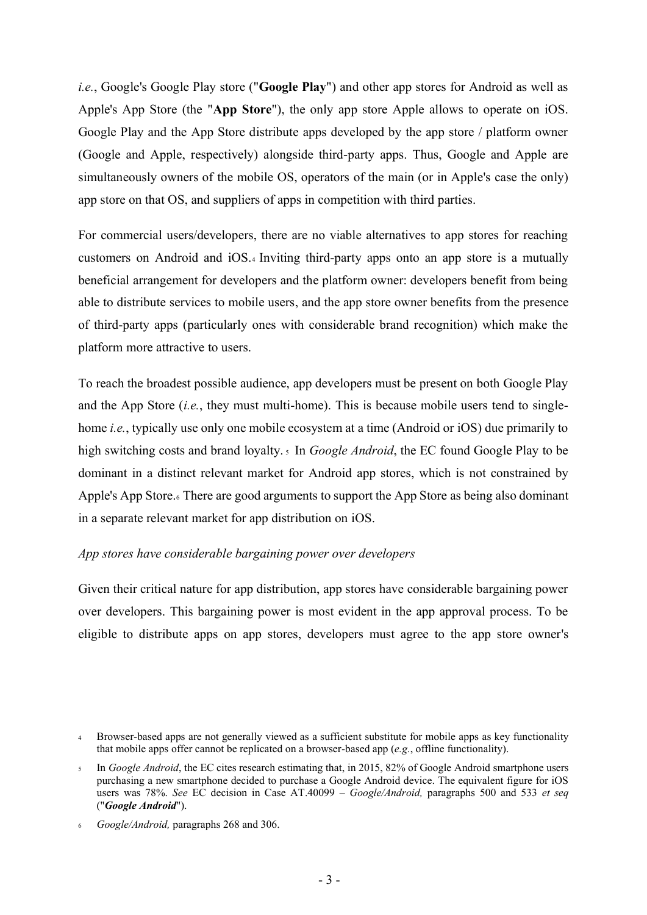*i.e.*, Google's Google Play store ("**Google Play**") and other app stores for Android as well as Apple's App Store (the "**App Store**"), the only app store Apple allows to operate on iOS. Google Play and the App Store distribute apps developed by the app store / platform owner (Google and Apple, respectively) alongside third-party apps. Thus, Google and Apple are simultaneously owners of the mobile OS, operators of the main (or in Apple's case the only) app store on that OS, and suppliers of apps in competition with third parties.

For commercial users/developers, there are no viable alternatives to app stores for reaching customers on Android and iOS.<sup>4</sup> Inviting third-party apps onto an app store is a mutually beneficial arrangement for developers and the platform owner: developers benefit from being able to distribute services to mobile users, and the app store owner benefits from the presence of third-party apps (particularly ones with considerable brand recognition) which make the platform more attractive to users.

To reach the broadest possible audience, app developers must be present on both Google Play and the App Store (*i.e.*, they must multi-home). This is because mobile users tend to singlehome *i.e.*, typically use only one mobile ecosystem at a time (Android or iOS) due primarily to high switching costs and brand loyalty.<sub>5</sub> In *Google Android*, the EC found Google Play to be dominant in a distinct relevant market for Android app stores, which is not constrained by Apple's App Store.<sub>6</sub> There are good arguments to support the App Store as being also dominant in a separate relevant market for app distribution on iOS.

# *App stores have considerable bargaining power over developers*

Given their critical nature for app distribution, app stores have considerable bargaining power over developers. This bargaining power is most evident in the app approval process. To be eligible to distribute apps on app stores, developers must agree to the app store owner's

<sup>4</sup> Browser-based apps are not generally viewed as a sufficient substitute for mobile apps as key functionality that mobile apps offer cannot be replicated on a browser-based app (*e.g.*, offline functionality).

<sup>5</sup> In *Google Android*, the EC cites research estimating that, in 2015, 82% of Google Android smartphone users purchasing a new smartphone decided to purchase a Google Android device. The equivalent figure for iOS users was 78%. *See* EC decision in Case AT.40099 – *Google/Android,* paragraphs 500 and 533 *et seq*  ("*Google Android*").

<sup>6</sup> *Google/Android,* paragraphs 268 and 306.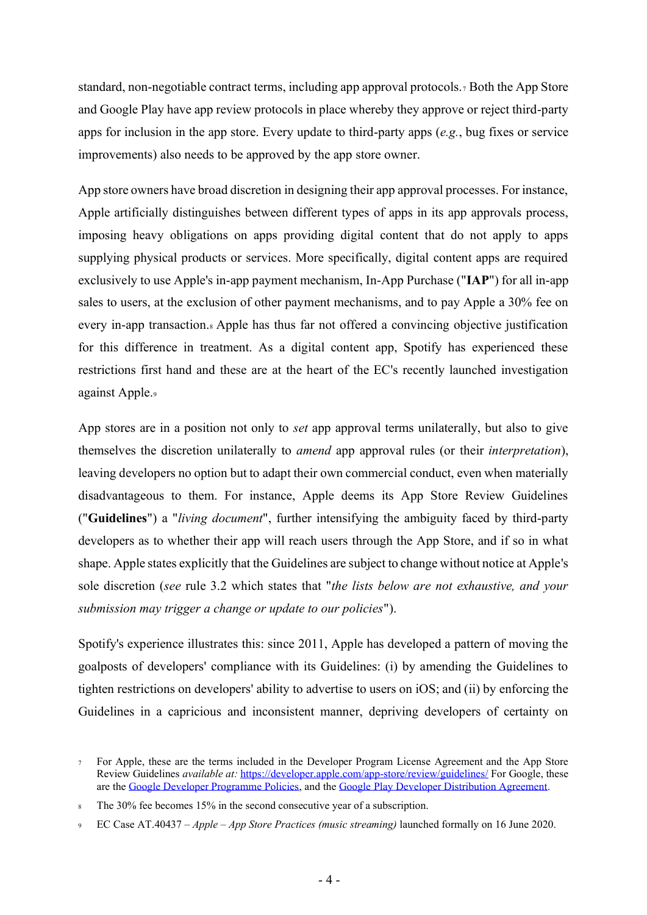standard, non-negotiable contract terms, including app approval protocols.<sup>7</sup> Both the App Store and Google Play have app review protocols in place whereby they approve or reject third-party apps for inclusion in the app store. Every update to third-party apps (*e.g.*, bug fixes or service improvements) also needs to be approved by the app store owner.

App store owners have broad discretion in designing their app approval processes. For instance, Apple artificially distinguishes between different types of apps in its app approvals process, imposing heavy obligations on apps providing digital content that do not apply to apps supplying physical products or services. More specifically, digital content apps are required exclusively to use Apple's in-app payment mechanism, In-App Purchase ("**IAP**") for all in-app sales to users, at the exclusion of other payment mechanisms, and to pay Apple a 30% fee on every in-app transaction.<sup>8</sup> Apple has thus far not offered a convincing objective justification for this difference in treatment. As a digital content app, Spotify has experienced these restrictions first hand and these are at the heart of the EC's recently launched investigation against Apple.<sup>9</sup>

App stores are in a position not only to *set* app approval terms unilaterally, but also to give themselves the discretion unilaterally to *amend* app approval rules (or their *interpretation*), leaving developers no option but to adapt their own commercial conduct, even when materially disadvantageous to them. For instance, Apple deems its App Store Review Guidelines ("**Guidelines**") a "*living document*", further intensifying the ambiguity faced by third-party developers as to whether their app will reach users through the App Store, and if so in what shape. Apple states explicitly that the Guidelines are subject to change without notice at Apple's sole discretion (*see* rule 3.2 which states that "*the lists below are not exhaustive, and your submission may trigger a change or update to our policies*").

Spotify's experience illustrates this: since 2011, Apple has developed a pattern of moving the goalposts of developers' compliance with its Guidelines: (i) by amending the Guidelines to tighten restrictions on developers' ability to advertise to users on iOS; and (ii) by enforcing the Guidelines in a capricious and inconsistent manner, depriving developers of certainty on

<sup>7</sup> For Apple, these are the terms included in the Developer Program License Agreement and the App Store Review Guidelines *available at:* <https://developer.apple.com/app-store/review/guidelines/> For Google, these are the [Google Developer Programme Policies,](https://support.google.com/googleplay/android-developer/topic/9858052?hl=en-GB) and the [Google Play Developer Distribution Agreement.](https://play.google.com/about/developer-distribution-agreement.html)

<sup>8</sup> The 30% fee becomes 15% in the second consecutive year of a subscription.

<sup>9</sup> EC Case AT.40437 – *Apple – App Store Practices (music streaming)* launched formally on 16 June 2020.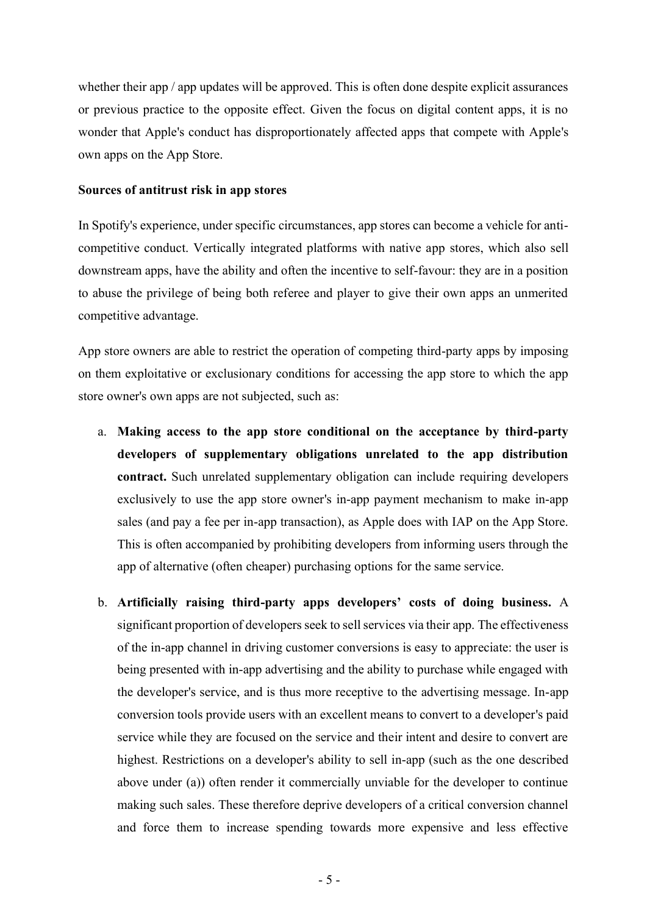whether their app / app updates will be approved. This is often done despite explicit assurances or previous practice to the opposite effect. Given the focus on digital content apps, it is no wonder that Apple's conduct has disproportionately affected apps that compete with Apple's own apps on the App Store.

#### **Sources of antitrust risk in app stores**

In Spotify's experience, under specific circumstances, app stores can become a vehicle for anticompetitive conduct. Vertically integrated platforms with native app stores, which also sell downstream apps, have the ability and often the incentive to self-favour: they are in a position to abuse the privilege of being both referee and player to give their own apps an unmerited competitive advantage.

App store owners are able to restrict the operation of competing third-party apps by imposing on them exploitative or exclusionary conditions for accessing the app store to which the app store owner's own apps are not subjected, such as:

- a. **Making access to the app store conditional on the acceptance by third-party developers of supplementary obligations unrelated to the app distribution contract.** Such unrelated supplementary obligation can include requiring developers exclusively to use the app store owner's in-app payment mechanism to make in-app sales (and pay a fee per in-app transaction), as Apple does with IAP on the App Store. This is often accompanied by prohibiting developers from informing users through the app of alternative (often cheaper) purchasing options for the same service.
- b. **Artificially raising third-party apps developers' costs of doing business.** A significant proportion of developers seek to sell services via their app. The effectiveness of the in-app channel in driving customer conversions is easy to appreciate: the user is being presented with in-app advertising and the ability to purchase while engaged with the developer's service, and is thus more receptive to the advertising message. In-app conversion tools provide users with an excellent means to convert to a developer's paid service while they are focused on the service and their intent and desire to convert are highest. Restrictions on a developer's ability to sell in-app (such as the one described above under (a)) often render it commercially unviable for the developer to continue making such sales. These therefore deprive developers of a critical conversion channel and force them to increase spending towards more expensive and less effective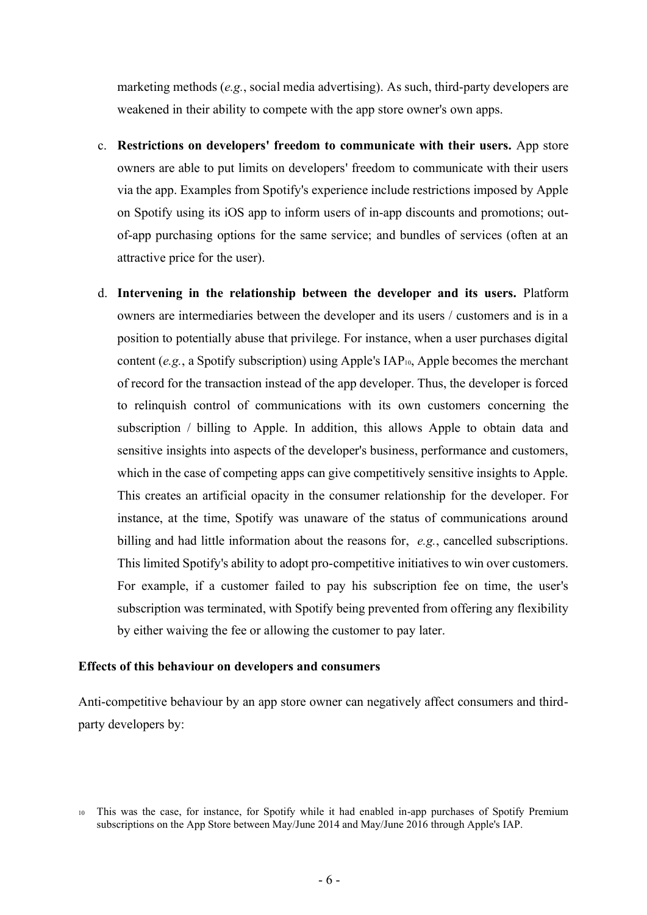marketing methods (*e.g.*, social media advertising). As such, third-party developers are weakened in their ability to compete with the app store owner's own apps.

- c. **Restrictions on developers' freedom to communicate with their users.** App store owners are able to put limits on developers' freedom to communicate with their users via the app. Examples from Spotify's experience include restrictions imposed by Apple on Spotify using its iOS app to inform users of in-app discounts and promotions; outof-app purchasing options for the same service; and bundles of services (often at an attractive price for the user).
- d. **Intervening in the relationship between the developer and its users.** Platform owners are intermediaries between the developer and its users / customers and is in a position to potentially abuse that privilege. For instance, when a user purchases digital content (*e.g.*, a Spotify subscription) using Apple's IAP<sub>10</sub>, Apple becomes the merchant of record for the transaction instead of the app developer. Thus, the developer is forced to relinquish control of communications with its own customers concerning the subscription / billing to Apple. In addition, this allows Apple to obtain data and sensitive insights into aspects of the developer's business, performance and customers, which in the case of competing apps can give competitively sensitive insights to Apple. This creates an artificial opacity in the consumer relationship for the developer. For instance, at the time, Spotify was unaware of the status of communications around billing and had little information about the reasons for, *e.g.*, cancelled subscriptions. This limited Spotify's ability to adopt pro-competitive initiatives to win over customers. For example, if a customer failed to pay his subscription fee on time, the user's subscription was terminated, with Spotify being prevented from offering any flexibility by either waiving the fee or allowing the customer to pay later.

#### **Effects of this behaviour on developers and consumers**

Anti-competitive behaviour by an app store owner can negatively affect consumers and thirdparty developers by:

<sup>10</sup> This was the case, for instance, for Spotify while it had enabled in-app purchases of Spotify Premium subscriptions on the App Store between May/June 2014 and May/June 2016 through Apple's IAP.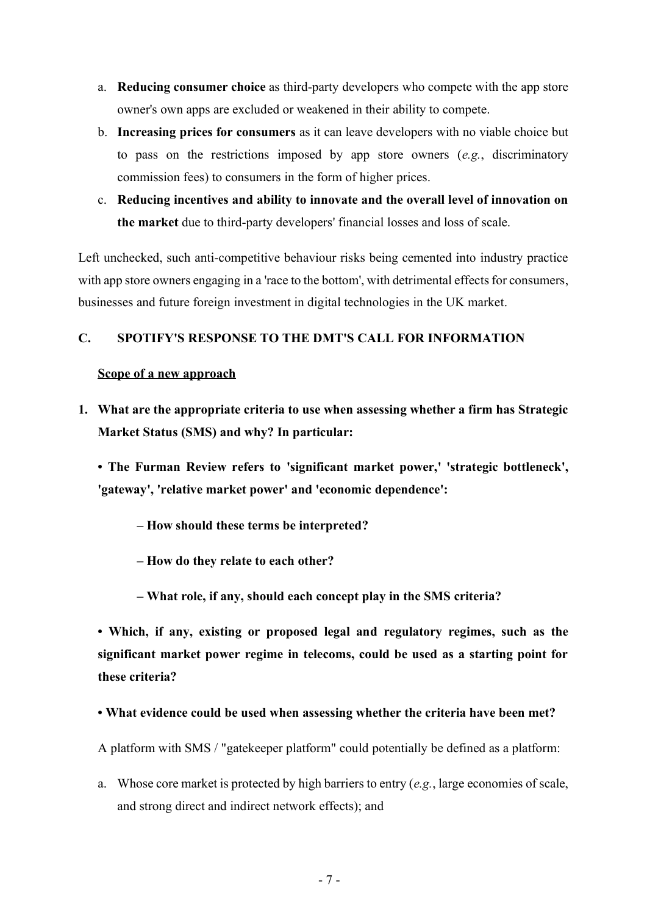- a. **Reducing consumer choice** as third-party developers who compete with the app store owner's own apps are excluded or weakened in their ability to compete.
- b. **Increasing prices for consumers** as it can leave developers with no viable choice but to pass on the restrictions imposed by app store owners (*e.g.*, discriminatory commission fees) to consumers in the form of higher prices.
- c. **Reducing incentives and ability to innovate and the overall level of innovation on the market** due to third-party developers' financial losses and loss of scale.

Left unchecked, such anti-competitive behaviour risks being cemented into industry practice with app store owners engaging in a 'race to the bottom', with detrimental effects for consumers, businesses and future foreign investment in digital technologies in the UK market.

## **C. SPOTIFY'S RESPONSE TO THE DMT'S CALL FOR INFORMATION**

## **Scope of a new approach**

**1. What are the appropriate criteria to use when assessing whether a firm has Strategic Market Status (SMS) and why? In particular:**

**• The Furman Review refers to 'significant market power,' 'strategic bottleneck', 'gateway', 'relative market power' and 'economic dependence':**

- **– How should these terms be interpreted?**
- **– How do they relate to each other?**
- **– What role, if any, should each concept play in the SMS criteria?**

**• Which, if any, existing or proposed legal and regulatory regimes, such as the significant market power regime in telecoms, could be used as a starting point for these criteria?** 

**• What evidence could be used when assessing whether the criteria have been met?**

A platform with SMS / "gatekeeper platform" could potentially be defined as a platform:

a. Whose core market is protected by high barriers to entry (*e.g.*, large economies of scale, and strong direct and indirect network effects); and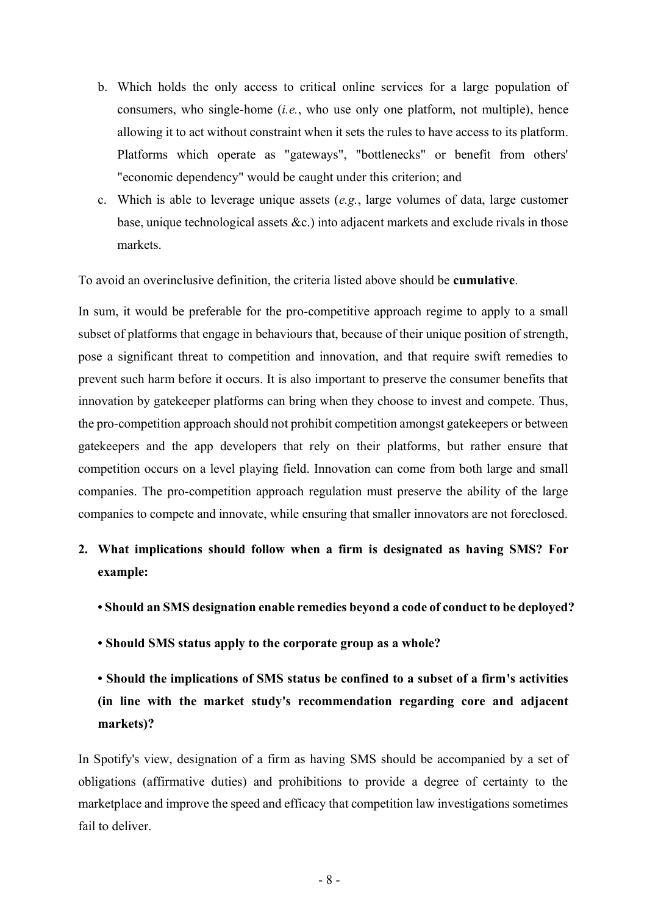- b. Which holds the only access to critical online services for a large population of consumers, who single-home (*i.e.*, who use only one platform, not multiple), hence allowing it to act without constraint when it sets the rules to have access to its platform. Platforms which operate as "gateways", "bottlenecks" or benefit from others' "economic dependency" would be caught under this criterion; and
- c. Which is able to leverage unique assets (*e.g.*, large volumes of data, large customer base, unique technological assets &c.) into adjacent markets and exclude rivals in those markets.

To avoid an overinclusive definition, the criteria listed above should be **cumulative**.

In sum, it would be preferable for the pro-competitive approach regime to apply to a small subset of platforms that engage in behaviours that, because of their unique position of strength, pose a significant threat to competition and innovation, and that require swift remedies to prevent such harm before it occurs. It is also important to preserve the consumer benefits that innovation by gatekeeper platforms can bring when they choose to invest and compete. Thus, the pro-competition approach should not prohibit competition amongst gatekeepers or between gatekeepers and the app developers that rely on their platforms, but rather ensure that competition occurs on a level playing field. Innovation can come from both large and small companies. The pro-competition approach regulation must preserve the ability of the large companies to compete and innovate, while ensuring that smaller innovators are not foreclosed.

- **2. What implications should follow when a firm is designated as having SMS? For example:**
	- **Should an SMS designation enable remedies beyond a code of conduct to be deployed?**
	- **Should SMS status apply to the corporate group as a whole?**
	- **Should the implications of SMS status be confined to a subset of a firm's activities (in line with the market study's recommendation regarding core and adjacent markets)?**

In Spotify's view, designation of a firm as having SMS should be accompanied by a set of obligations (affirmative duties) and prohibitions to provide a degree of certainty to the marketplace and improve the speed and efficacy that competition law investigations sometimes fail to deliver.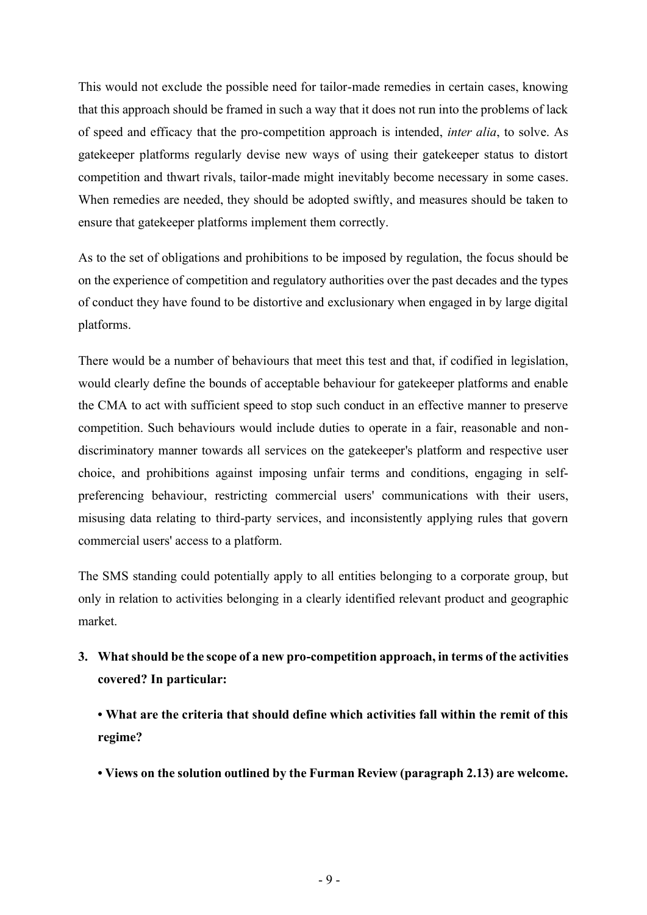This would not exclude the possible need for tailor-made remedies in certain cases, knowing that this approach should be framed in such a way that it does not run into the problems of lack of speed and efficacy that the pro-competition approach is intended, *inter alia*, to solve. As gatekeeper platforms regularly devise new ways of using their gatekeeper status to distort competition and thwart rivals, tailor-made might inevitably become necessary in some cases. When remedies are needed, they should be adopted swiftly, and measures should be taken to ensure that gatekeeper platforms implement them correctly.

As to the set of obligations and prohibitions to be imposed by regulation, the focus should be on the experience of competition and regulatory authorities over the past decades and the types of conduct they have found to be distortive and exclusionary when engaged in by large digital platforms.

There would be a number of behaviours that meet this test and that, if codified in legislation, would clearly define the bounds of acceptable behaviour for gatekeeper platforms and enable the CMA to act with sufficient speed to stop such conduct in an effective manner to preserve competition. Such behaviours would include duties to operate in a fair, reasonable and nondiscriminatory manner towards all services on the gatekeeper's platform and respective user choice, and prohibitions against imposing unfair terms and conditions, engaging in selfpreferencing behaviour, restricting commercial users' communications with their users, misusing data relating to third-party services, and inconsistently applying rules that govern commercial users' access to a platform.

The SMS standing could potentially apply to all entities belonging to a corporate group, but only in relation to activities belonging in a clearly identified relevant product and geographic market.

**3. What should be the scope of a new pro-competition approach, in terms of the activities covered? In particular:**

**• What are the criteria that should define which activities fall within the remit of this regime?** 

**• Views on the solution outlined by the Furman Review (paragraph 2.13) are welcome.**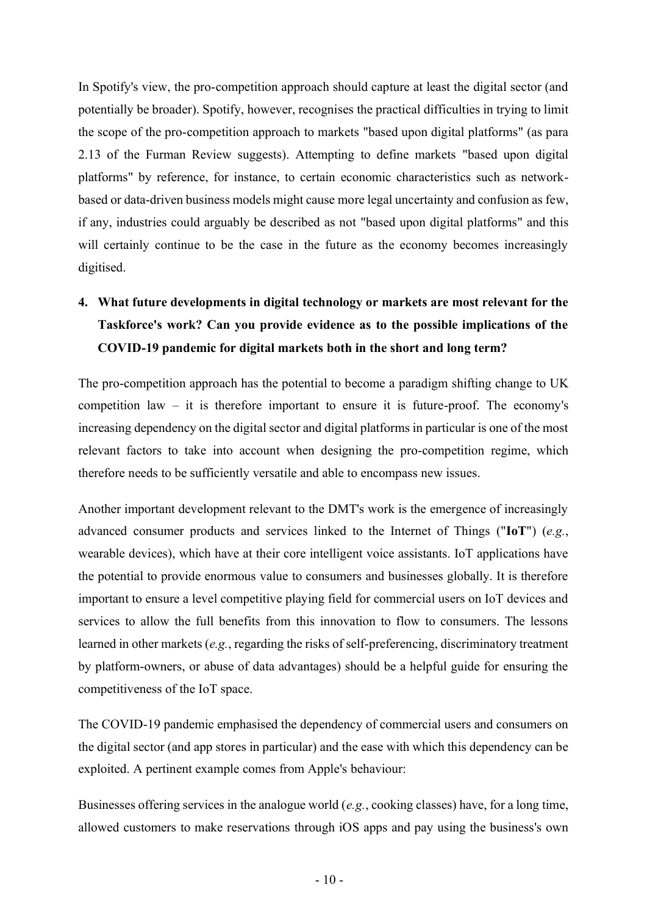In Spotify's view, the pro-competition approach should capture at least the digital sector (and potentially be broader). Spotify, however, recognises the practical difficulties in trying to limit the scope of the pro-competition approach to markets "based upon digital platforms" (as para 2.13 of the Furman Review suggests). Attempting to define markets "based upon digital platforms" by reference, for instance, to certain economic characteristics such as networkbased or data-driven business models might cause more legal uncertainty and confusion as few, if any, industries could arguably be described as not "based upon digital platforms" and this will certainly continue to be the case in the future as the economy becomes increasingly digitised.

# **4. What future developments in digital technology or markets are most relevant for the Taskforce's work? Can you provide evidence as to the possible implications of the COVID-19 pandemic for digital markets both in the short and long term?**

The pro-competition approach has the potential to become a paradigm shifting change to UK competition law – it is therefore important to ensure it is future-proof. The economy's increasing dependency on the digital sector and digital platforms in particular is one of the most relevant factors to take into account when designing the pro-competition regime, which therefore needs to be sufficiently versatile and able to encompass new issues.

Another important development relevant to the DMT's work is the emergence of increasingly advanced consumer products and services linked to the Internet of Things ("**IoT**") (*e.g.*, wearable devices), which have at their core intelligent voice assistants. IoT applications have the potential to provide enormous value to consumers and businesses globally. It is therefore important to ensure a level competitive playing field for commercial users on IoT devices and services to allow the full benefits from this innovation to flow to consumers. The lessons learned in other markets (*e.g.*, regarding the risks of self-preferencing, discriminatory treatment by platform-owners, or abuse of data advantages) should be a helpful guide for ensuring the competitiveness of the IoT space.

The COVID-19 pandemic emphasised the dependency of commercial users and consumers on the digital sector (and app stores in particular) and the ease with which this dependency can be exploited. A pertinent example comes from Apple's behaviour:

Businesses offering services in the analogue world (*e.g.*, cooking classes) have, for a long time, allowed customers to make reservations through iOS apps and pay using the business's own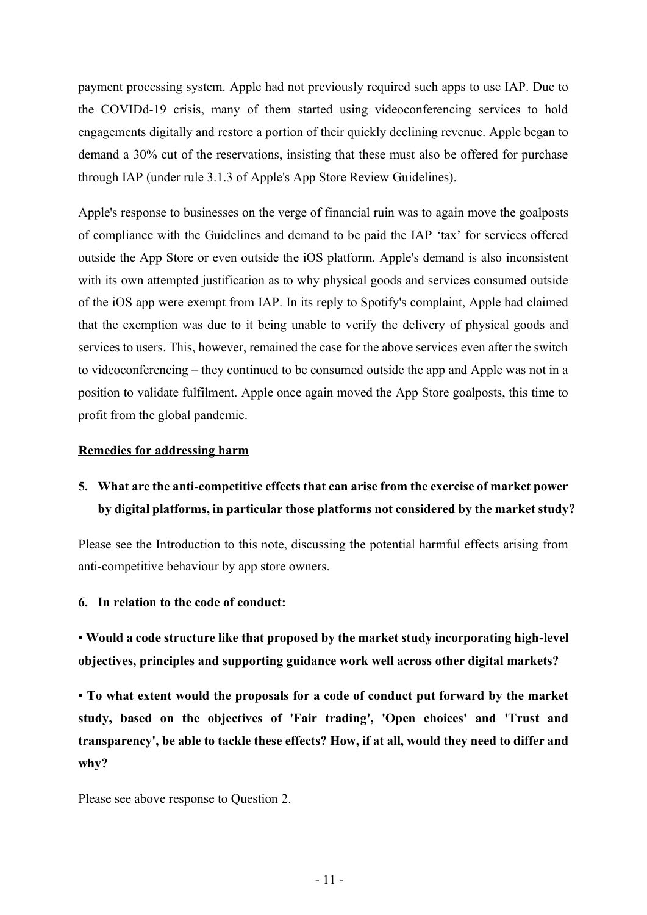payment processing system. Apple had not previously required such apps to use IAP. Due to the COVIDd-19 crisis, many of them started using videoconferencing services to hold engagements digitally and restore a portion of their quickly declining revenue. Apple began to demand a 30% cut of the reservations, insisting that these must also be offered for purchase through IAP (under rule 3.1.3 of Apple's App Store Review Guidelines).

Apple's response to businesses on the verge of financial ruin was to again move the goalposts of compliance with the Guidelines and demand to be paid the IAP 'tax' for services offered outside the App Store or even outside the iOS platform. Apple's demand is also inconsistent with its own attempted justification as to why physical goods and services consumed outside of the iOS app were exempt from IAP. In its reply to Spotify's complaint, Apple had claimed that the exemption was due to it being unable to verify the delivery of physical goods and services to users. This, however, remained the case for the above services even after the switch to videoconferencing – they continued to be consumed outside the app and Apple was not in a position to validate fulfilment. Apple once again moved the App Store goalposts, this time to profit from the global pandemic.

#### **Remedies for addressing harm**

# **5. What are the anti-competitive effects that can arise from the exercise of market power by digital platforms, in particular those platforms not considered by the market study?**

Please see the Introduction to this note, discussing the potential harmful effects arising from anti-competitive behaviour by app store owners.

#### **6. In relation to the code of conduct:**

**• Would a code structure like that proposed by the market study incorporating high-level objectives, principles and supporting guidance work well across other digital markets?** 

**• To what extent would the proposals for a code of conduct put forward by the market study, based on the objectives of 'Fair trading', 'Open choices' and 'Trust and transparency', be able to tackle these effects? How, if at all, would they need to differ and why?** 

Please see above response to Question 2.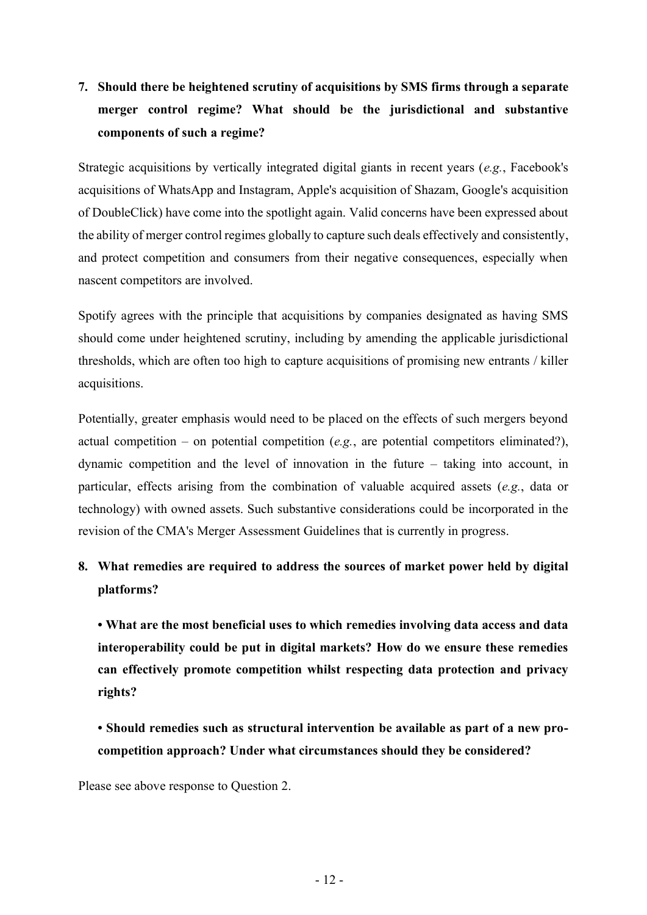# **7. Should there be heightened scrutiny of acquisitions by SMS firms through a separate merger control regime? What should be the jurisdictional and substantive components of such a regime?**

Strategic acquisitions by vertically integrated digital giants in recent years (*e.g.*, Facebook's acquisitions of WhatsApp and Instagram, Apple's acquisition of Shazam, Google's acquisition of DoubleClick) have come into the spotlight again. Valid concerns have been expressed about the ability of merger control regimes globally to capture such deals effectively and consistently, and protect competition and consumers from their negative consequences, especially when nascent competitors are involved.

Spotify agrees with the principle that acquisitions by companies designated as having SMS should come under heightened scrutiny, including by amending the applicable jurisdictional thresholds, which are often too high to capture acquisitions of promising new entrants / killer acquisitions.

Potentially, greater emphasis would need to be placed on the effects of such mergers beyond actual competition – on potential competition (*e.g.*, are potential competitors eliminated?), dynamic competition and the level of innovation in the future – taking into account, in particular, effects arising from the combination of valuable acquired assets (*e.g.*, data or technology) with owned assets. Such substantive considerations could be incorporated in the revision of the CMA's Merger Assessment Guidelines that is currently in progress.

# **8. What remedies are required to address the sources of market power held by digital platforms?**

**• What are the most beneficial uses to which remedies involving data access and data interoperability could be put in digital markets? How do we ensure these remedies can effectively promote competition whilst respecting data protection and privacy rights?** 

**• Should remedies such as structural intervention be available as part of a new procompetition approach? Under what circumstances should they be considered?** 

Please see above response to Question 2.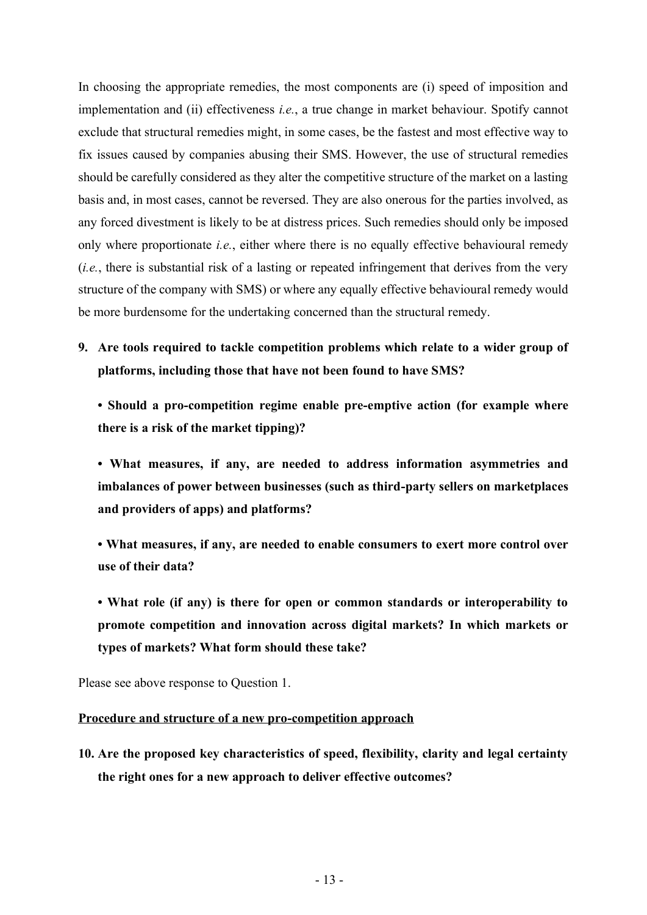In choosing the appropriate remedies, the most components are (i) speed of imposition and implementation and (ii) effectiveness *i.e.*, a true change in market behaviour. Spotify cannot exclude that structural remedies might, in some cases, be the fastest and most effective way to fix issues caused by companies abusing their SMS. However, the use of structural remedies should be carefully considered as they alter the competitive structure of the market on a lasting basis and, in most cases, cannot be reversed. They are also onerous for the parties involved, as any forced divestment is likely to be at distress prices. Such remedies should only be imposed only where proportionate *i.e.*, either where there is no equally effective behavioural remedy (*i.e.*, there is substantial risk of a lasting or repeated infringement that derives from the very structure of the company with SMS) or where any equally effective behavioural remedy would be more burdensome for the undertaking concerned than the structural remedy.

- **9. Are tools required to tackle competition problems which relate to a wider group of platforms, including those that have not been found to have SMS?**
	- **Should a pro-competition regime enable pre-emptive action (for example where there is a risk of the market tipping)?**

**• What measures, if any, are needed to address information asymmetries and imbalances of power between businesses (such as third-party sellers on marketplaces and providers of apps) and platforms?** 

**• What measures, if any, are needed to enable consumers to exert more control over use of their data?** 

**• What role (if any) is there for open or common standards or interoperability to promote competition and innovation across digital markets? In which markets or types of markets? What form should these take?** 

Please see above response to Question 1.

#### **Procedure and structure of a new pro-competition approach**

**10. Are the proposed key characteristics of speed, flexibility, clarity and legal certainty the right ones for a new approach to deliver effective outcomes?**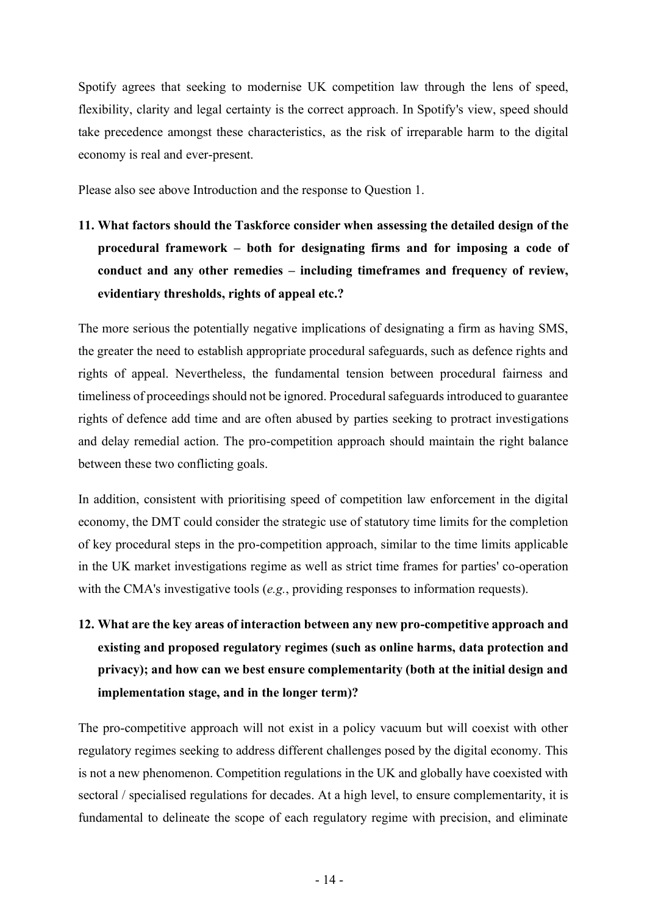Spotify agrees that seeking to modernise UK competition law through the lens of speed, flexibility, clarity and legal certainty is the correct approach. In Spotify's view, speed should take precedence amongst these characteristics, as the risk of irreparable harm to the digital economy is real and ever-present.

Please also see above Introduction and the response to Question 1.

**11. What factors should the Taskforce consider when assessing the detailed design of the procedural framework – both for designating firms and for imposing a code of conduct and any other remedies – including timeframes and frequency of review, evidentiary thresholds, rights of appeal etc.?**

The more serious the potentially negative implications of designating a firm as having SMS, the greater the need to establish appropriate procedural safeguards, such as defence rights and rights of appeal. Nevertheless, the fundamental tension between procedural fairness and timeliness of proceedings should not be ignored. Procedural safeguards introduced to guarantee rights of defence add time and are often abused by parties seeking to protract investigations and delay remedial action. The pro-competition approach should maintain the right balance between these two conflicting goals.

In addition, consistent with prioritising speed of competition law enforcement in the digital economy, the DMT could consider the strategic use of statutory time limits for the completion of key procedural steps in the pro-competition approach, similar to the time limits applicable in the UK market investigations regime as well as strict time frames for parties' co-operation with the CMA's investigative tools (*e.g.*, providing responses to information requests).

**12. What are the key areas of interaction between any new pro-competitive approach and existing and proposed regulatory regimes (such as online harms, data protection and privacy); and how can we best ensure complementarity (both at the initial design and implementation stage, and in the longer term)?**

The pro-competitive approach will not exist in a policy vacuum but will coexist with other regulatory regimes seeking to address different challenges posed by the digital economy. This is not a new phenomenon. Competition regulations in the UK and globally have coexisted with sectoral / specialised regulations for decades. At a high level, to ensure complementarity, it is fundamental to delineate the scope of each regulatory regime with precision, and eliminate